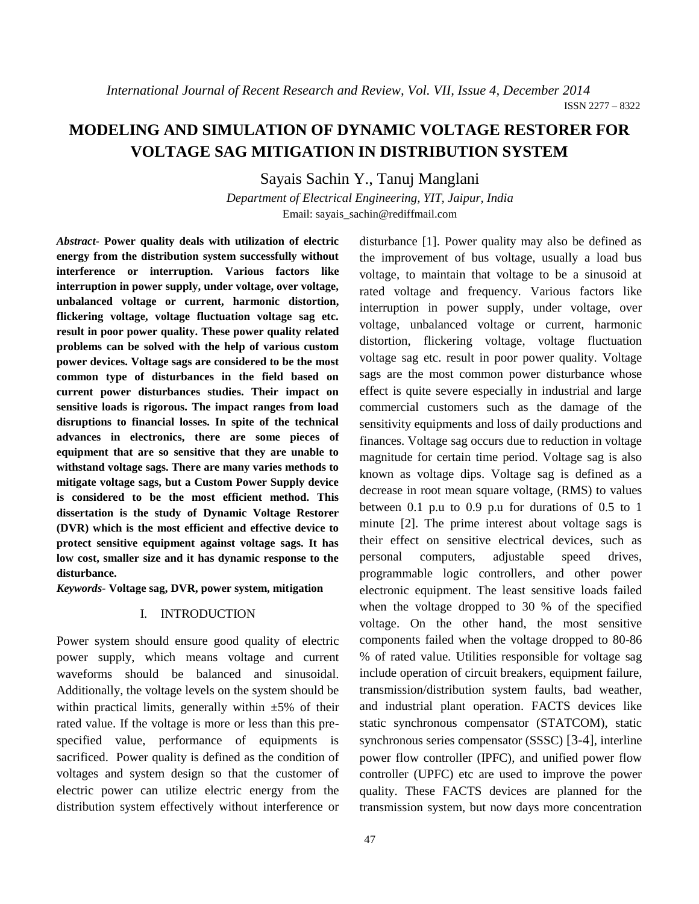# **MODELING AND SIMULATION OF DYNAMIC VOLTAGE RESTORER FOR VOLTAGE SAG MITIGATION IN DISTRIBUTION SYSTEM**

Sayais Sachin Y., Tanuj Manglani

*Department of Electrical Engineering, YIT, Jaipur, India* Email[: sayais\\_sachin@rediffmail.com](mailto:sayais_sachin@rediffmail.com)

*Abstract-* **Power quality deals with utilization of electric energy from the distribution system successfully without interference or interruption. Various factors like interruption in power supply, under voltage, over voltage, unbalanced voltage or current, harmonic distortion, flickering voltage, voltage fluctuation voltage sag etc. result in poor power quality. These power quality related problems can be solved with the help of various custom power devices. Voltage sags are considered to be the most common type of disturbances in the field based on current power disturbances studies. Their impact on sensitive loads is rigorous. The impact ranges from load disruptions to financial losses. In spite of the technical advances in electronics, there are some pieces of equipment that are so sensitive that they are unable to withstand voltage sags. There are many varies methods to mitigate voltage sags, but a Custom Power Supply device is considered to be the most efficient method. This dissertation is the study of Dynamic Voltage Restorer (DVR) which is the most efficient and effective device to protect sensitive equipment against voltage sags. It has low cost, smaller size and it has dynamic response to the disturbance.**

*Keywords-* **Voltage sag, DVR, power system, mitigation**

## I. INTRODUCTION

Power system should ensure good quality of electric power supply, which means voltage and current waveforms should be balanced and sinusoidal. Additionally, the voltage levels on the system should be within practical limits, generally within  $\pm 5\%$  of their rated value. If the voltage is more or less than this prespecified value, performance of equipments is sacrificed. Power quality is defined as the condition of voltages and system design so that the customer of electric power can utilize electric energy from the distribution system effectively without interference or

disturbance [1]. Power quality may also be defined as the improvement of bus voltage, usually a load bus voltage, to maintain that voltage to be a sinusoid at rated voltage and frequency. Various factors like interruption in power supply, under voltage, over voltage, unbalanced voltage or current, harmonic distortion, flickering voltage, voltage fluctuation voltage sag etc. result in poor power quality. Voltage sags are the most common power disturbance whose effect is quite severe especially in industrial and large commercial customers such as the damage of the sensitivity equipments and loss of daily productions and finances. Voltage sag occurs due to reduction in voltage magnitude for certain time period. Voltage sag is also known as voltage dips. Voltage sag is defined as a decrease in root mean square voltage, (RMS) to values between 0.1 p.u to 0.9 p.u for durations of 0.5 to 1 minute [2]. The prime interest about voltage sags is their effect on sensitive electrical devices, such as personal computers, adjustable speed drives, programmable logic controllers, and other power electronic equipment. The least sensitive loads failed when the voltage dropped to 30 % of the specified voltage. On the other hand, the most sensitive components failed when the voltage dropped to 80-86 % of rated value. Utilities responsible for voltage sag include operation of circuit breakers, equipment failure, transmission/distribution system faults, bad weather, and industrial plant operation. FACTS devices like static synchronous compensator (STATCOM), static synchronous series compensator (SSSC) [3-4], interline power flow controller (IPFC), and unified power flow controller (UPFC) etc are used to improve the power quality. These FACTS devices are planned for the transmission system, but now days more concentration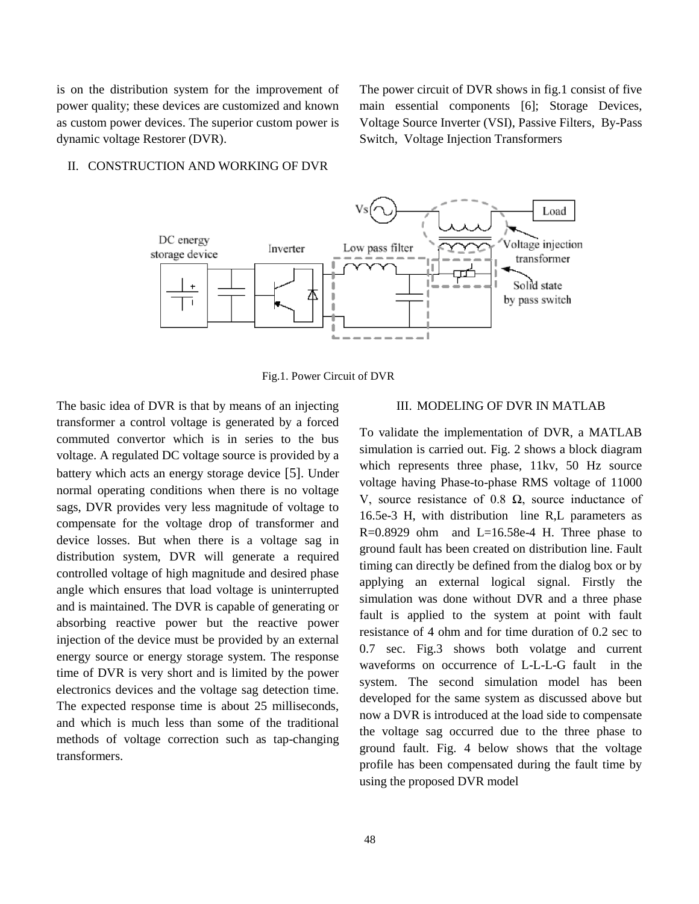is on the distribution system for the improvement of power quality; these devices are customized and known as custom power devices. The superior custom power is dynamic voltage Restorer (DVR).

The power circuit of DVR shows in fig.1 consist of five main essential components [6]; Storage Devices, Voltage Source Inverter (VSI), Passive Filters, By-Pass Switch, Voltage Injection Transformers

#### II. CONSTRUCTION AND WORKING OF DVR



Fig.1. Power Circuit of DVR

The basic idea of DVR is that by means of an injecting transformer a control voltage is generated by a forced commuted convertor which is in series to the bus voltage. A regulated DC voltage source is provided by a battery which acts an energy storage device [5]. Under normal operating conditions when there is no voltage sags, DVR provides very less magnitude of voltage to compensate for the voltage drop of transformer and device losses. But when there is a voltage sag in distribution system, DVR will generate a required controlled voltage of high magnitude and desired phase angle which ensures that load voltage is uninterrupted and is maintained. The DVR is capable of generating or absorbing reactive power but the reactive power injection of the device must be provided by an external energy source or energy storage system. The response time of DVR is very short and is limited by the power electronics devices and the voltage sag detection time. The expected response time is about 25 milliseconds, and which is much less than some of the traditional methods of voltage correction such as tap-changing transformers.

#### III. MODELING OF DVR IN MATLAB

To validate the implementation of DVR, a MATLAB simulation is carried out. Fig. 2 shows a block diagram which represents three phase, 11kv, 50 Hz source voltage having Phase-to-phase RMS voltage of 11000 V, source resistance of 0.8  $\Omega$ , source inductance of 16.5e-3 H, with distribution line R,L parameters as R=0.8929 ohm and L=16.58e-4 H. Three phase to ground fault has been created on distribution line. Fault timing can directly be defined from the dialog box or by applying an external logical signal. Firstly the simulation was done without DVR and a three phase fault is applied to the system at point with fault resistance of 4 ohm and for time duration of 0.2 sec to 0.7 sec. Fig.3 shows both volatge and current waveforms on occurrence of L-L-L-G fault in the system. The second simulation model has been developed for the same system as discussed above but now a DVR is introduced at the load side to compensate the voltage sag occurred due to the three phase to ground fault. Fig. 4 below shows that the voltage profile has been compensated during the fault time by using the proposed DVR model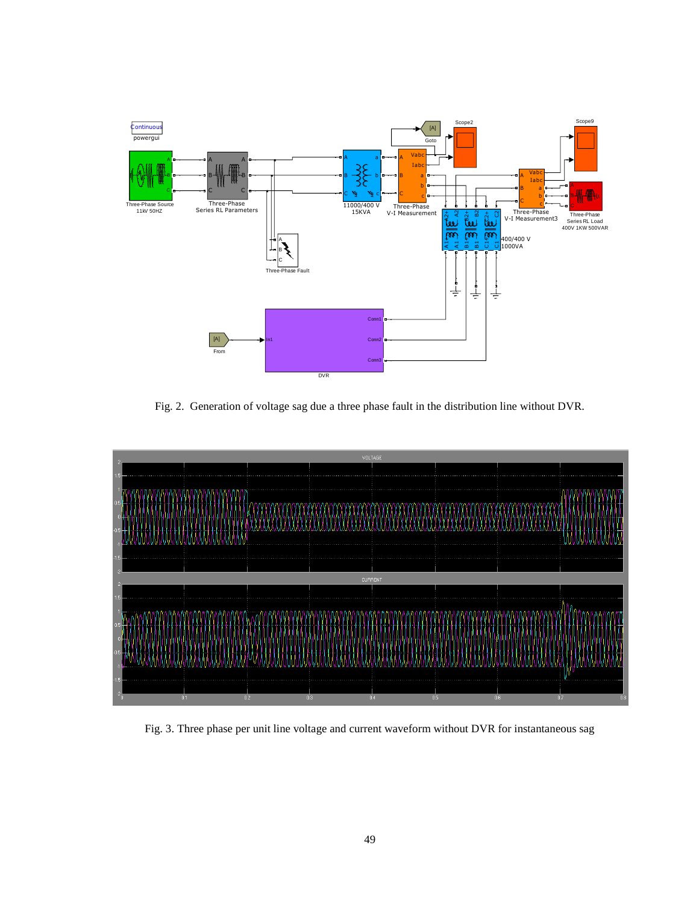

Fig. 2. Generation of voltage sag due a three phase fault in the distribution line without DVR.



Fig. 3. Three phase per unit line voltage and current waveform without DVR for instantaneous sag